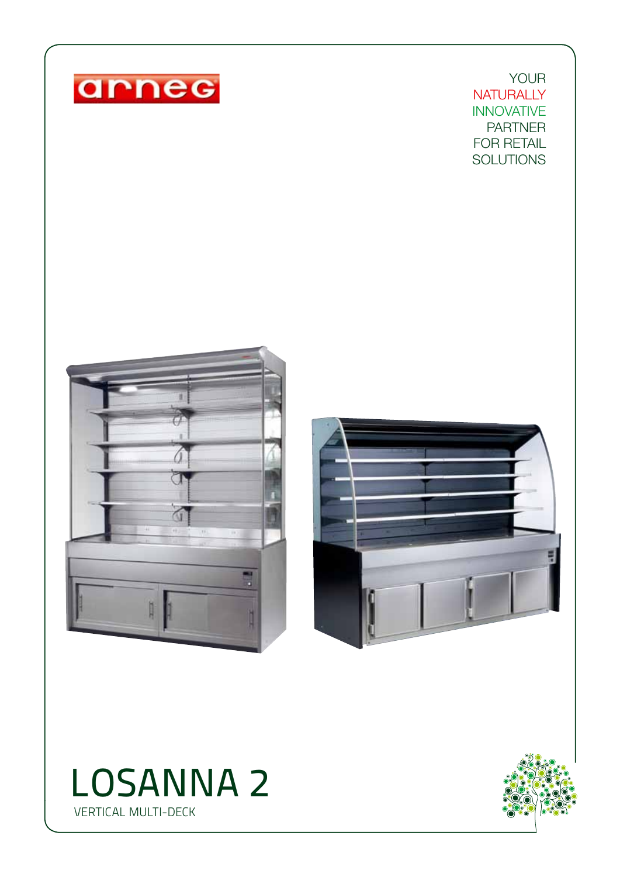

YOUR **NATURALLY** INNOVATIVE PARTNER FOR RETAIL **SOLUTIONS**